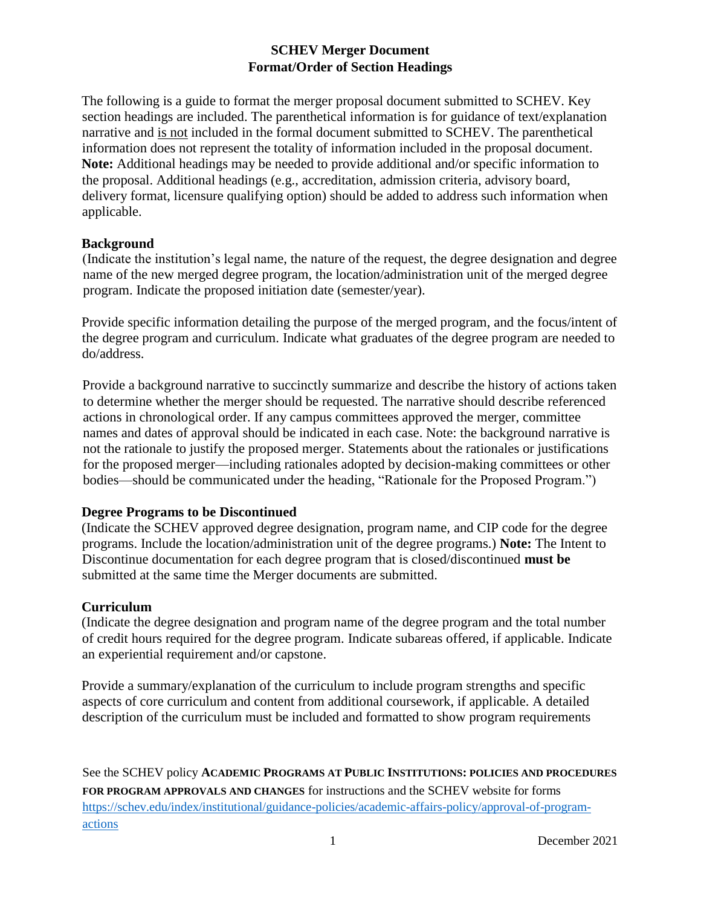# **SCHEV Merger Document Format/Order of Section Headings**

The following is a guide to format the merger proposal document submitted to SCHEV. Key section headings are included. The parenthetical information is for guidance of text/explanation narrative and is not included in the formal document submitted to SCHEV. The parenthetical information does not represent the totality of information included in the proposal document. **Note:** Additional headings may be needed to provide additional and/or specific information to the proposal. Additional headings (e.g., accreditation, admission criteria, advisory board, delivery format, licensure qualifying option) should be added to address such information when applicable.

### **Background**

(Indicate the institution's legal name, the nature of the request, the degree designation and degree name of the new merged degree program, the location/administration unit of the merged degree program. Indicate the proposed initiation date (semester/year).

Provide specific information detailing the purpose of the merged program, and the focus/intent of the degree program and curriculum. Indicate what graduates of the degree program are needed to do/address.

Provide a background narrative to succinctly summarize and describe the history of actions taken to determine whether the merger should be requested. The narrative should describe referenced actions in chronological order. If any campus committees approved the merger, committee names and dates of approval should be indicated in each case. Note: the background narrative is not the rationale to justify the proposed merger. Statements about the rationales or justifications for the proposed merger—including rationales adopted by decision-making committees or other bodies—should be communicated under the heading, "Rationale for the Proposed Program.")

# **Degree Programs to be Discontinued**

(Indicate the SCHEV approved degree designation, program name, and CIP code for the degree programs. Include the location/administration unit of the degree programs.) **Note:** The Intent to Discontinue documentation for each degree program that is closed/discontinued **must be** submitted at the same time the Merger documents are submitted.

### **Curriculum**

(Indicate the degree designation and program name of the degree program and the total number of credit hours required for the degree program. Indicate subareas offered, if applicable. Indicate an experiential requirement and/or capstone.

Provide a summary/explanation of the curriculum to include program strengths and specific aspects of core curriculum and content from additional coursework, if applicable. A detailed description of the curriculum must be included and formatted to show program requirements

See the SCHEV policy **ACADEMIC PROGRAMS AT PUBLIC INSTITUTIONS: POLICIES AND PROCEDURES FOR PROGRAM APPROVALS AND CHANGES** for instructions and the SCHEV website for forms [https://schev.edu/index/institutional/guidance-policies/academic-affairs-policy/approval-of-program](https://schev.edu/index/institutional/guidance-policies/academic-affairs-policy/approval-of-program-actions)[actions](https://schev.edu/index/institutional/guidance-policies/academic-affairs-policy/approval-of-program-actions)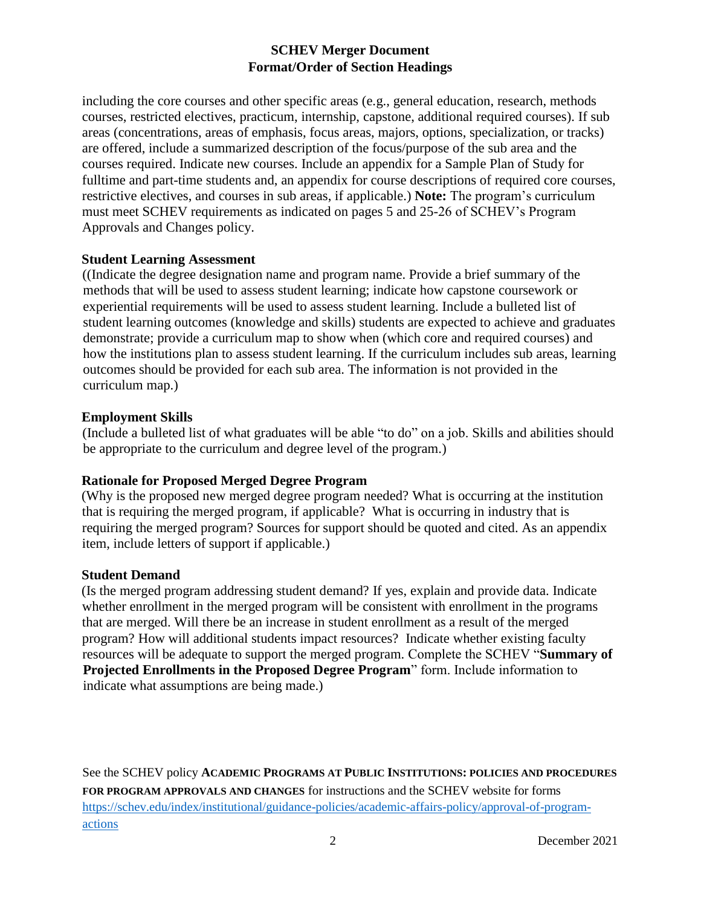# **SCHEV Merger Document Format/Order of Section Headings**

including the core courses and other specific areas (e.g., general education, research, methods courses, restricted electives, practicum, internship, capstone, additional required courses). If sub areas (concentrations, areas of emphasis, focus areas, majors, options, specialization, or tracks) are offered, include a summarized description of the focus/purpose of the sub area and the courses required. Indicate new courses. Include an appendix for a Sample Plan of Study for fulltime and part-time students and, an appendix for course descriptions of required core courses, restrictive electives, and courses in sub areas, if applicable.) **Note:** The program's curriculum must meet SCHEV requirements as indicated on pages 5 and 25-26 of SCHEV's Program Approvals and Changes policy.

#### **Student Learning Assessment**

((Indicate the degree designation name and program name. Provide a brief summary of the methods that will be used to assess student learning; indicate how capstone coursework or experiential requirements will be used to assess student learning. Include a bulleted list of student learning outcomes (knowledge and skills) students are expected to achieve and graduates demonstrate; provide a curriculum map to show when (which core and required courses) and how the institutions plan to assess student learning. If the curriculum includes sub areas, learning outcomes should be provided for each sub area. The information is not provided in the curriculum map.)

#### **Employment Skills**

(Include a bulleted list of what graduates will be able "to do" on a job. Skills and abilities should be appropriate to the curriculum and degree level of the program.)

### **Rationale for Proposed Merged Degree Program**

(Why is the proposed new merged degree program needed? What is occurring at the institution that is requiring the merged program, if applicable? What is occurring in industry that is requiring the merged program? Sources for support should be quoted and cited. As an appendix item, include letters of support if applicable.)

#### **Student Demand**

(Is the merged program addressing student demand? If yes, explain and provide data. Indicate whether enrollment in the merged program will be consistent with enrollment in the programs that are merged. Will there be an increase in student enrollment as a result of the merged program? How will additional students impact resources? Indicate whether existing faculty resources will be adequate to support the merged program. Complete the SCHEV "**Summary of Projected Enrollments in the Proposed Degree Program**" form. Include information to indicate what assumptions are being made.)

See the SCHEV policy **ACADEMIC PROGRAMS AT PUBLIC INSTITUTIONS: POLICIES AND PROCEDURES FOR PROGRAM APPROVALS AND CHANGES** for instructions and the SCHEV website for forms [https://schev.edu/index/institutional/guidance-policies/academic-affairs-policy/approval-of-program](https://schev.edu/index/institutional/guidance-policies/academic-affairs-policy/approval-of-program-actions)[actions](https://schev.edu/index/institutional/guidance-policies/academic-affairs-policy/approval-of-program-actions)